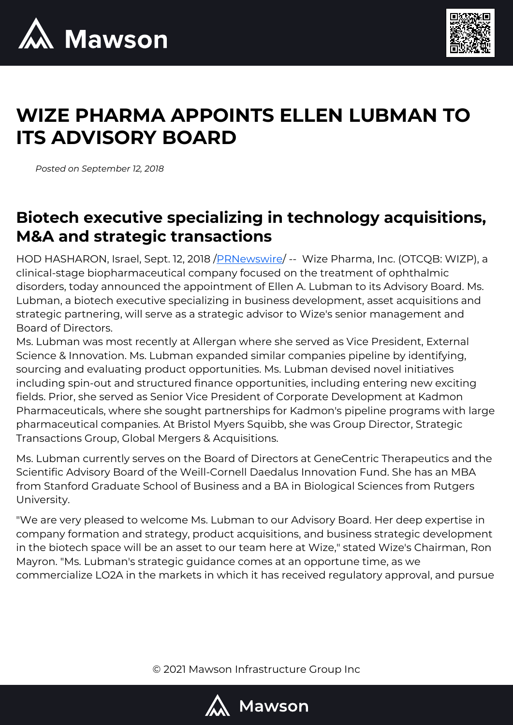



## **WIZE PHARMA APPOINTS ELLEN LUBMAN TO ITS ADVISORY BOARD**

*Posted on September 12, 2018*

## **Biotech executive specializing in technology acquisitions, M&A and strategic transactions**

HOD HASHARON, Israel, Sept. 12, 2018 /[PRNewswire](http://www.prnewswire.com/)/ -- Wize Pharma, Inc. (OTCQB: WIZP), a clinical-stage biopharmaceutical company focused on the treatment of ophthalmic disorders, today announced the appointment of Ellen A. Lubman to its Advisory Board. Ms. Lubman, a biotech executive specializing in business development, asset acquisitions and strategic partnering, will serve as a strategic advisor to Wize's senior management and Board of Directors.

Ms. Lubman was most recently at Allergan where she served as Vice President, External Science & Innovation. Ms. Lubman expanded similar companies pipeline by identifying, sourcing and evaluating product opportunities. Ms. Lubman devised novel initiatives including spin-out and structured finance opportunities, including entering new exciting fields. Prior, she served as Senior Vice President of Corporate Development at Kadmon Pharmaceuticals, where she sought partnerships for Kadmon's pipeline programs with large pharmaceutical companies. At Bristol Myers Squibb, she was Group Director, Strategic Transactions Group, Global Mergers & Acquisitions.

Ms. Lubman currently serves on the Board of Directors at GeneCentric Therapeutics and the Scientific Advisory Board of the Weill-Cornell Daedalus Innovation Fund. She has an MBA from Stanford Graduate School of Business and a BA in Biological Sciences from Rutgers University.

"We are very pleased to welcome Ms. Lubman to our Advisory Board. Her deep expertise in company formation and strategy, product acquisitions, and business strategic development in the biotech space will be an asset to our team here at Wize," stated Wize's Chairman, Ron Mayron. "Ms. Lubman's strategic guidance comes at an opportune time, as we commercialize LO2A in the markets in which it has received regulatory approval, and pursue

© 2021 Mawson Infrastructure Group Inc

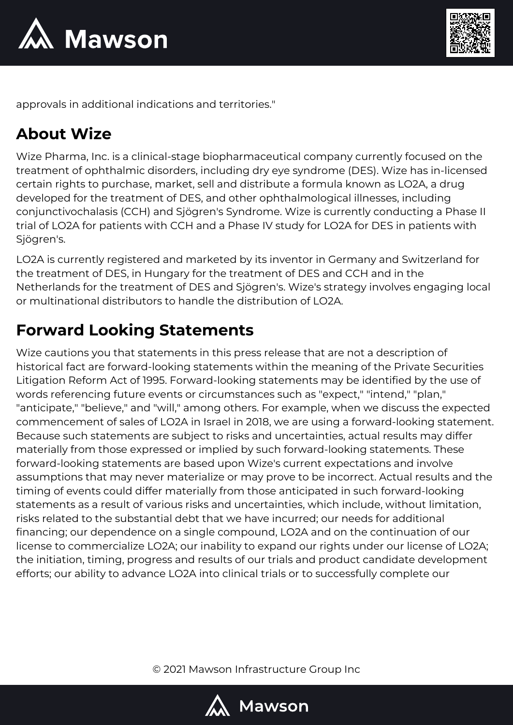



approvals in additional indications and territories."

## **About Wize**

Wize Pharma, Inc. is a clinical-stage biopharmaceutical company currently focused on the treatment of ophthalmic disorders, including dry eye syndrome (DES). Wize has in-licensed certain rights to purchase, market, sell and distribute a formula known as LO2A, a drug developed for the treatment of DES, and other ophthalmological illnesses, including conjunctivochalasis (CCH) and Sjögren's Syndrome. Wize is currently conducting a Phase II trial of LO2A for patients with CCH and a Phase IV study for LO2A for DES in patients with Sjögren's.

LO2A is currently registered and marketed by its inventor in Germany and Switzerland for the treatment of DES, in Hungary for the treatment of DES and CCH and in the Netherlands for the treatment of DES and Sjögren's. Wize's strategy involves engaging local or multinational distributors to handle the distribution of LO2A.

## **Forward Looking Statements**

Wize cautions you that statements in this press release that are not a description of historical fact are forward-looking statements within the meaning of the Private Securities Litigation Reform Act of 1995. Forward-looking statements may be identified by the use of words referencing future events or circumstances such as "expect," "intend," "plan," "anticipate," "believe," and "will," among others. For example, when we discuss the expected commencement of sales of LO2A in Israel in 2018, we are using a forward-looking statement. Because such statements are subject to risks and uncertainties, actual results may differ materially from those expressed or implied by such forward-looking statements. These forward-looking statements are based upon Wize's current expectations and involve assumptions that may never materialize or may prove to be incorrect. Actual results and the timing of events could differ materially from those anticipated in such forward-looking statements as a result of various risks and uncertainties, which include, without limitation, risks related to the substantial debt that we have incurred; our needs for additional financing; our dependence on a single compound, LO2A and on the continuation of our license to commercialize LO2A; our inability to expand our rights under our license of LO2A; the initiation, timing, progress and results of our trials and product candidate development efforts; our ability to advance LO2A into clinical trials or to successfully complete our

© 2021 Mawson Infrastructure Group Inc